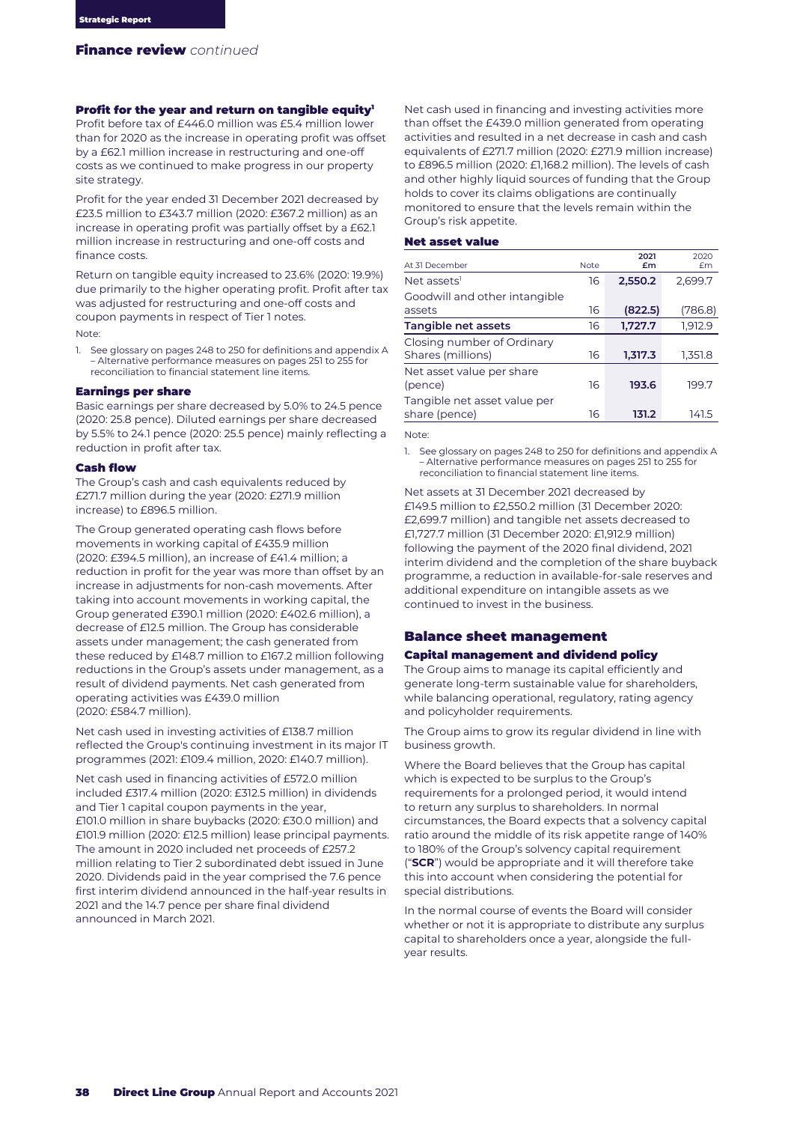# Profit for the year and return on tangible equity<sup>1</sup>

Profit before tax of £446.0 million was £5.4 million lower than for 2020 as the increase in operating profit was offset by a £62.1 million increase in restructuring and one-off costs as we continued to make progress in our property site strategy.

Profit for the year ended 31 December 2021 decreased by £23.5 million to £343.7 million (2020: £367.2 million) as an increase in operating profit was partially offset by a £62.1 million increase in restructuring and one-off costs and finance costs.

Return on tangible equity increased to 23.6% (2020: 19.9%) due primarily to the higher operating profit. Profit after tax was adjusted for restructuring and one-off costs and coupon payments in respect of Tier 1 notes.

Note:

1. See glossary on pages 248 to 250 for definitions and appendix A – Alternative performance measures on pages 251 to 255 for reconciliation to financial statement line items.

### Earnings per share

Basic earnings per share decreased by 5.0% to 24.5 pence (2020: 25.8 pence). Diluted earnings per share decreased by 5.5% to 24.1 pence (2020: 25.5 pence) mainly reflecting a reduction in profit after tax.

# Cash flow

The Group's cash and cash equivalents reduced by £271.7 million during the year (2020: £271.9 million increase) to £896.5 million.

The Group generated operating cash flows before movements in working capital of £435.9 million (2020: £394.5 million), an increase of £41.4 million; a reduction in profit for the year was more than offset by an increase in adjustments for non-cash movements. After taking into account movements in working capital, the Group generated £390.1 million (2020: £402.6 million), a decrease of £12.5 million. The Group has considerable assets under management; the cash generated from these reduced by £148.7 million to £167.2 million following reductions in the Group's assets under management, as a result of dividend payments. Net cash generated from operating activities was £439.0 million (2020: £584.7 million).

Net cash used in investing activities of £138.7 million reflected the Group's continuing investment in its major IT programmes (2021: £109.4 million, 2020: £140.7 million).

Net cash used in financing activities of £572.0 million included £317.4 million (2020: £312.5 million) in dividends and Tier 1 capital coupon payments in the year, £101.0 million in share buybacks (2020: £30.0 million) and £101.9 million (2020: £12.5 million) lease principal payments. The amount in 2020 included net proceeds of £257.2 million relating to Tier 2 subordinated debt issued in June 2020. Dividends paid in the year comprised the 7.6 pence first interim dividend announced in the half-year results in 2021 and the 14.7 pence per share final dividend announced in March 2021.

Net cash used in financing and investing activities more than offset the £439.0 million generated from operating activities and resulted in a net decrease in cash and cash equivalents of £271.7 million (2020: £271.9 million increase) to £896.5 million (2020: £1,168.2 million). The levels of cash and other highly liquid sources of funding that the Group holds to cover its claims obligations are continually monitored to ensure that the levels remain within the Group's risk appetite.

#### Net asset value

| At 31 December                                  | <b>Note</b> | 2021<br>£m | 2020<br>£m |
|-------------------------------------------------|-------------|------------|------------|
| Net assets <sup>1</sup>                         | 16          | 2,550.2    | 2,699.7    |
| Goodwill and other intangible                   |             |            |            |
| assets                                          | 16          | (822.5)    | (786.8)    |
| Tangible net assets                             | 16          | 1,727.7    | 1,912.9    |
| Closing number of Ordinary<br>Shares (millions) | 16          | 1,317.3    | 1,351.8    |
| Net asset value per share<br>(pence)            | 16          | 193.6      | 199.7      |
| Tangible net asset value per<br>share (pence)   | 16          | 131.2      | 141.5      |

Note:

1. See glossary on pages 248 to 250 for definitions and appendix A – Alternative performance measures on pages 251 to 255 for reconciliation to financial statement line items.

Net assets at 31 December 2021 decreased by £149.5 million to £2,550.2 million (31 December 2020: £2,699.7 million) and tangible net assets decreased to £1,727.7 million (31 December 2020: £1,912.9 million) following the payment of the 2020 final dividend, 2021 interim dividend and the completion of the share buyback programme, a reduction in available-for-sale reserves and additional expenditure on intangible assets as we continued to invest in the business.

# Balance sheet management

# Capital management and dividend policy

The Group aims to manage its capital efficiently and generate long-term sustainable value for shareholders, while balancing operational, regulatory, rating agency and policyholder requirements.

The Group aims to grow its regular dividend in line with business growth.

Where the Board believes that the Group has capital which is expected to be surplus to the Group's requirements for a prolonged period, it would intend to return any surplus to shareholders. In normal circumstances, the Board expects that a solvency capital ratio around the middle of its risk appetite range of 140% to 180% of the Group's solvency capital requirement ("**SCR**") would be appropriate and it will therefore take this into account when considering the potential for special distributions.

In the normal course of events the Board will consider whether or not it is appropriate to distribute any surplus capital to shareholders once a year, alongside the fullyear results.